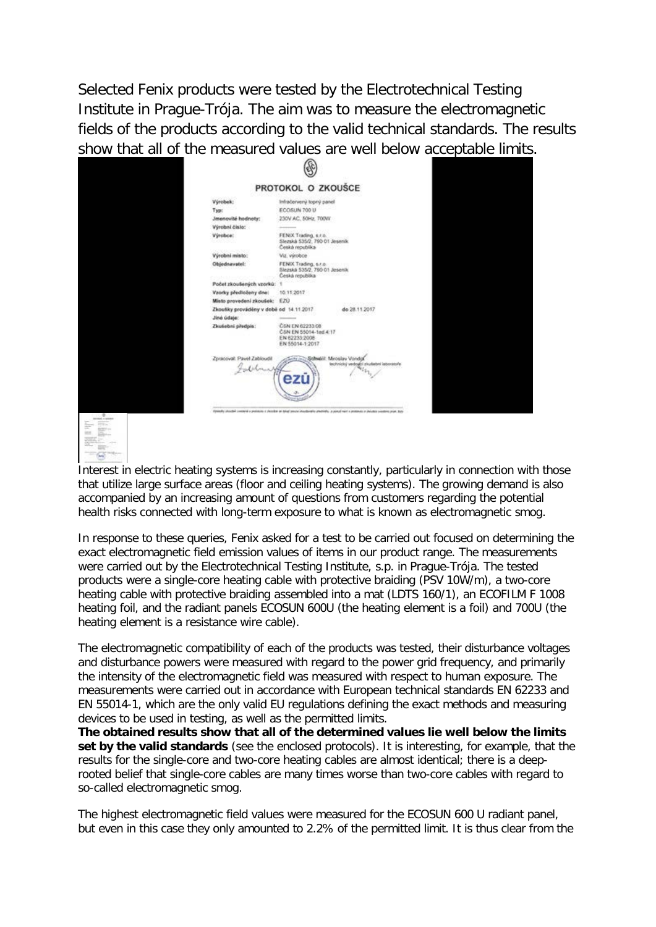Selected Fenix products were tested by the Electrotechnical Testing Institute in Prague-Trója. The aim was to measure the electromagnetic fields of the products according to the valid technical standards. The results show that all of the measured values are well below acceptable limits.

| PROTOKOL O ZKOUŠCE<br>Výrobek:<br>Infračervený topný panel<br>ECOSUN 700 U<br>Typ:<br>Jmenovité hodnoty:<br>230V AC, 50Hz, 700W<br>Výrobní číslo:<br>Výrobce:<br>FENIX Trading, s.r.o.<br>Slezská 535/2, 790 01 Jeseník<br>Česká republika<br><b>YO BACKWOWNY</b><br>Výrobní misto:<br>Viz. výrobce<br>Objednavatel:<br>FENIX Trading, s.r.o.<br>4200.42<br>Slezská 535/2, 790 01 Jeseník<br>Česká republika<br>Počet zkoušených vzorků: 1<br>Vzorky předloženy dne:<br>10.11.2017<br>£20<br>Misto provedení zkoušek:<br>Zkoušky prováděny v době od 14.11.2017<br>do 28.11.2017<br>Jiné údaje:<br>Zkuśebni předpis:<br>CSN EN 62233.08<br>CSN EN 55014-1ed 4:17<br>EN 62233 2008<br>EN 55014-1:2017<br>Zpracoval: Pavel Zabloudil<br>Schweit Miroslav Vondge<br>caller car.<br>ezū |                                         |
|-------------------------------------------------------------------------------------------------------------------------------------------------------------------------------------------------------------------------------------------------------------------------------------------------------------------------------------------------------------------------------------------------------------------------------------------------------------------------------------------------------------------------------------------------------------------------------------------------------------------------------------------------------------------------------------------------------------------------------------------------------------------------------------|-----------------------------------------|
|                                                                                                                                                                                                                                                                                                                                                                                                                                                                                                                                                                                                                                                                                                                                                                                     |                                         |
|                                                                                                                                                                                                                                                                                                                                                                                                                                                                                                                                                                                                                                                                                                                                                                                     |                                         |
|                                                                                                                                                                                                                                                                                                                                                                                                                                                                                                                                                                                                                                                                                                                                                                                     |                                         |
|                                                                                                                                                                                                                                                                                                                                                                                                                                                                                                                                                                                                                                                                                                                                                                                     |                                         |
|                                                                                                                                                                                                                                                                                                                                                                                                                                                                                                                                                                                                                                                                                                                                                                                     |                                         |
|                                                                                                                                                                                                                                                                                                                                                                                                                                                                                                                                                                                                                                                                                                                                                                                     |                                         |
|                                                                                                                                                                                                                                                                                                                                                                                                                                                                                                                                                                                                                                                                                                                                                                                     |                                         |
|                                                                                                                                                                                                                                                                                                                                                                                                                                                                                                                                                                                                                                                                                                                                                                                     |                                         |
|                                                                                                                                                                                                                                                                                                                                                                                                                                                                                                                                                                                                                                                                                                                                                                                     |                                         |
|                                                                                                                                                                                                                                                                                                                                                                                                                                                                                                                                                                                                                                                                                                                                                                                     |                                         |
|                                                                                                                                                                                                                                                                                                                                                                                                                                                                                                                                                                                                                                                                                                                                                                                     |                                         |
|                                                                                                                                                                                                                                                                                                                                                                                                                                                                                                                                                                                                                                                                                                                                                                                     |                                         |
|                                                                                                                                                                                                                                                                                                                                                                                                                                                                                                                                                                                                                                                                                                                                                                                     |                                         |
|                                                                                                                                                                                                                                                                                                                                                                                                                                                                                                                                                                                                                                                                                                                                                                                     |                                         |
|                                                                                                                                                                                                                                                                                                                                                                                                                                                                                                                                                                                                                                                                                                                                                                                     | akotevický vedoučí zkularbní laboratoře |

Interest in electric heating systems is increasing constantly, particularly in connection with those that utilize large surface areas (floor and ceiling heating systems). The growing demand is also accompanied by an increasing amount of questions from customers regarding the potential health risks connected with long-term exposure to what is known as electromagnetic smog.

In response to these queries, Fenix asked for a test to be carried out focused on determining the exact electromagnetic field emission values of items in our product range. The measurements were carried out by the Electrotechnical Testing Institute, s.p. in Prague-Trója. The tested products were a single-core heating cable with protective braiding (PSV 10W/m), a two-core heating cable with protective braiding assembled into a mat (LDTS 160/1), an ECOFILM F 1008 heating foil, and the radiant panels ECOSUN 600U (the heating element is a foil) and 700U (the heating element is a resistance wire cable).

The electromagnetic compatibility of each of the products was tested, their disturbance voltages and disturbance powers were measured with regard to the power grid frequency, and primarily the intensity of the electromagnetic field was measured with respect to human exposure. The measurements were carried out in accordance with European technical standards EN 62233 and EN 55014-1, which are the only valid EU regulations defining the exact methods and measuring devices to be used in testing, as well as the permitted limits.

**The obtained results show that all of the determined values lie well below the limits set by the valid standards** (see the enclosed protocols). It is interesting, for example, that the results for the single-core and two-core heating cables are almost identical; there is a deeprooted belief that single-core cables are many times worse than two-core cables with regard to so-called electromagnetic smog.

The highest electromagnetic field values were measured for the ECOSUN 600 U radiant panel, but even in this case they only amounted to 2.2% of the permitted limit. It is thus clear from the